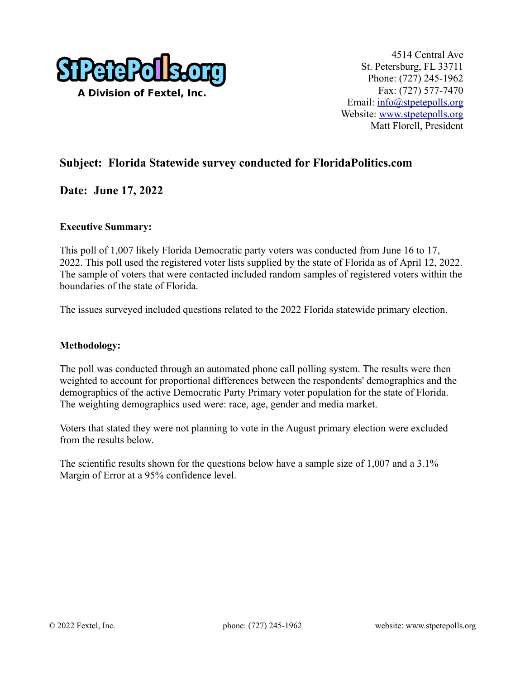

## **Subject: Florida Statewide survey conducted for FloridaPolitics.com**

### **Date: June 17, 2022**

### **Executive Summary:**

This poll of 1,007 likely Florida Democratic party voters was conducted from June 16 to 17, 2022. This poll used the registered voter lists supplied by the state of Florida as of April 12, 2022. The sample of voters that were contacted included random samples of registered voters within the boundaries of the state of Florida.

The issues surveyed included questions related to the 2022 Florida statewide primary election.

### **Methodology:**

The poll was conducted through an automated phone call polling system. The results were then weighted to account for proportional differences between the respondents' demographics and the demographics of the active Democratic Party Primary voter population for the state of Florida. The weighting demographics used were: race, age, gender and media market.

Voters that stated they were not planning to vote in the August primary election were excluded from the results below.

The scientific results shown for the questions below have a sample size of 1,007 and a 3.1% Margin of Error at a 95% confidence level.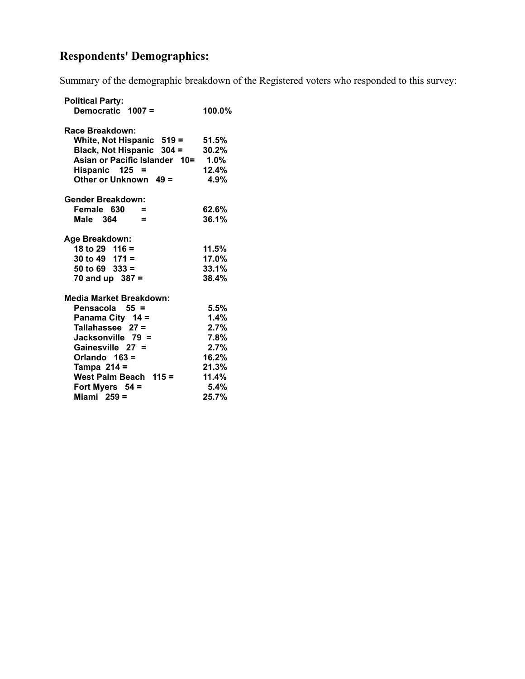# **Respondents' Demographics:**

Summary of the demographic breakdown of the Registered voters who responded to this survey:

| <b>Political Party:</b>       |         |
|-------------------------------|---------|
| Democratic 1007 =             | 100.0%  |
| Race Breakdown:               |         |
| White, Not Hispanic 519 =     | 51.5%   |
| Black, Not Hispanic 304 =     | 30.2%   |
| Asian or Pacific Islander 10= | 1.0%    |
| Hispanic $125 =$              | 12.4%   |
| Other or Unknown $49 =$       | 4.9%    |
| Gender Breakdown:             |         |
| Female 630<br>=               | 62.6%   |
| Male 364<br>$\equiv$          | 36.1%   |
| Age Breakdown:                |         |
| 18 to 29 $116 =$              | 11.5%   |
| 30 to 49 $171 =$              | 17.0%   |
| 50 to 69 $333 =$              | 33.1%   |
| 70 and up $387 =$             | 38.4%   |
| Media Market Breakdown:       |         |
| Pensacola $55 =$              | 5.5%    |
| Panama City 14 =              | 1.4%    |
| Tallahassee $27 =$            | 2.7%    |
| Jacksonville 79 =             | 7.8%    |
| Gainesville 27 =              | $2.7\%$ |
| Orlando 163 =                 | 16.2%   |
| Tampa $214 =$                 | 21.3%   |
| West Palm Beach 115 =         | 11.4%   |
| Fort Myers $54 =$             | 5.4%    |
| Miami 259 =                   | 25.7%   |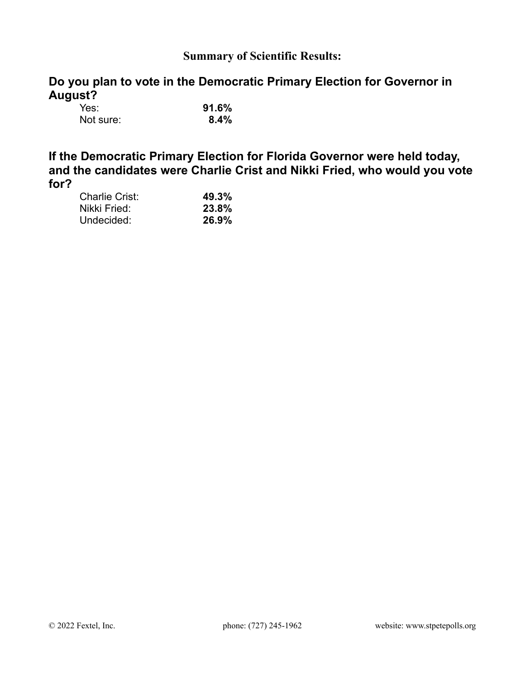### **Summary of Scientific Results:**

**Do you plan to vote in the Democratic Primary Election for Governor in August?**

| Yes:      | 91.6% |
|-----------|-------|
| Not sure: | 8.4%  |

**If the Democratic Primary Election for Florida Governor were held today, and the candidates were Charlie Crist and Nikki Fried, who would you vote for?** 

| <b>Charlie Crist:</b> | 49.3% |
|-----------------------|-------|
| Nikki Fried:          | 23.8% |
| Undecided:            | 26.9% |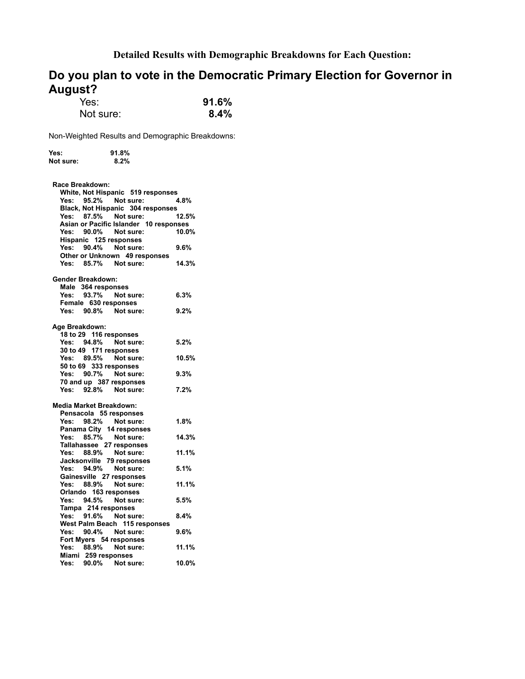### **Detailed Results with Demographic Breakdowns for Each Question:**

## **Do you plan to vote in the Democratic Primary Election for Governor in August?**

| Yes:      | 91.6% |
|-----------|-------|
| Not sure: | 8.4%  |

Non-Weighted Results and Demographic Breakdowns:

| Yes:                           | 91.8%                                  |         |
|--------------------------------|----------------------------------------|---------|
| Not sure:                      | 8.2%                                   |         |
|                                |                                        |         |
|                                |                                        |         |
| Race Breakdown:                |                                        |         |
|                                | White, Not Hispanic 519 responses      |         |
| Yes: 95.2% Not sure:           |                                        | 4.8%    |
|                                | Black, Not Hispanic 304 responses      |         |
| Yes: 87.5% Not sure:           |                                        | 12.5%   |
|                                | Asian or Pacific Islander 10 responses |         |
| Yes: 90.0% Not sure:           |                                        | 10.0%   |
| Hispanic 125 responses         |                                        |         |
| Yes: 90.4% Not sure:           |                                        | $9.6\%$ |
|                                | Other or Unknown 49 responses          |         |
| Yes: 85.7% Not sure:           |                                        | 14.3%   |
|                                |                                        |         |
| <b>Gender Breakdown:</b>       |                                        |         |
| Male 364 responses             |                                        |         |
| Yes: 93.7% Not sure:           |                                        | 6.3%    |
| Female 630 responses           |                                        |         |
| Yes: 90.8% Not sure:           |                                        | 9.2%    |
|                                |                                        |         |
| Age Breakdown:                 |                                        |         |
| 18 to 29 116 responses         |                                        |         |
| Yes: 94.8% Not sure:           |                                        | 5.2%    |
| 30 to 49 171 responses         |                                        |         |
| Yes: 89.5% Not sure:           |                                        | 10.5%   |
| 50 to 69 333 responses         |                                        |         |
| Yes: 90.7% Not sure:           |                                        | 9.3%    |
| 70 and up 387 responses        |                                        |         |
| Yes: 92.8% Not sure:           |                                        | 7.2%    |
|                                |                                        |         |
| <b>Media Market Breakdown:</b> |                                        |         |
| Pensacola 55 responses         |                                        |         |
| Yes: 98.2% Not sure:           |                                        | 1.8%    |
| Panama City 14 responses       |                                        |         |
| Yes: 85.7% Not sure:           |                                        | 14.3%   |
| Tallahassee 27 responses       |                                        |         |
| Yes: 88.9% Not sure:           |                                        | 11.1%   |
| Jacksonville 79 responses      |                                        |         |
| Yes: 94.9%                     | Not sure:                              | 5.1%    |
| Gainesville 27 responses       |                                        |         |
| Yes: 88.9% Not sure:           |                                        | 11.1%   |
| Orlando 163 responses          |                                        |         |
| Yes: 94.5% Not sure:           |                                        | 5.5%    |
| Tampa 214 responses            |                                        |         |
| Yes: 91.6% Not sure:           |                                        | 8.4%    |
|                                | West Palm Beach 115 responses          |         |
| Yes: 90.4% Not sure:           |                                        | 9.6%    |
| Fort Myers 54 responses        |                                        |         |

 **Yes: 88.9% Not sure: 11.1%** 

 **Yes: 90.0% Not sure: 10.0%**

 **Miami 259 responses**